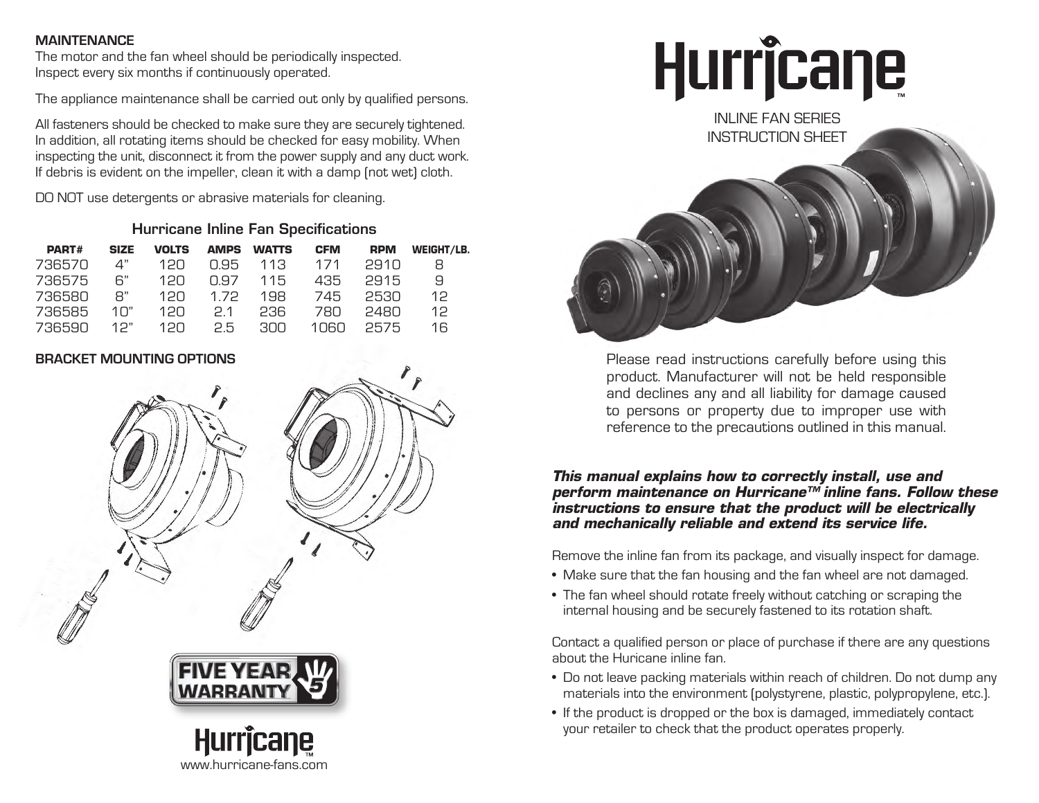#### **MAINTENANCE**

The motor and the fan wheel should be periodically inspected. Inspect every six months if continuously operated.

The appliance maintenance shall be carried out only by qualified persons.

All fasteners should be checked to make sure they are securely tightened. In addition, all rotating items should be checked for easy mobility. When inspecting the unit, disconnect it from the power supply and any duct work. If debris is evident on the impeller, clean it with a damp (not wet) cloth.

DO NOT use detergents or abrasive materials for cleaning.

#### Hurricane Inline Fan Specifications

| <b>PART#</b> | <b>SIZE</b> | <b>VOLTS</b> | <b>AMPS</b> | <b>WATTS</b> | <b>CFM</b> | <b>RPM</b> | WEIGHT/LB. |
|--------------|-------------|--------------|-------------|--------------|------------|------------|------------|
| 736570       | 4"          | 12N          | N 95        | 113          | 171        | 2910       | 8          |
| 736575       | հ"          | 12N          | N 97        | 115          | 435        | 2915       | 9          |
| 736580       | R"          | 12N          | 1.72        | 198          | 745        | 2530       | 12         |
| 736585       | 1∩"         | 12N          | 21          | 236          | 78N        | 2480       | 12.        |
| 736590       | 1つ"         | 1 2 N        | 25          | GNG.         | 1060.      | 2575       | 16         |

### **BRACKET MOUNTING OPTIONS**



www.hurricane-fans.com

Hurricane



Please read instructions carefully before using this product. Manufacturer will not be held responsible and declines any and all liability for damage caused to persons or property due to improper use with reference to the precautions outlined in this manual.

#### *This manual explains how to correctly install, use and perform maintenance on Hurricane™ inline fans. Follow these instructions to ensure that the product will be electrically and mechanically reliable and extend its service life.*

Remove the inline fan from its package, and visually inspect for damage.

- Make sure that the fan housing and the fan wheel are not damaged.
- The fan wheel should rotate freely without catching or scraping the internal housing and be securely fastened to its rotation shaft.

Contact a qualified person or place of purchase if there are any questions about the Huricane inline fan.

- Do not leave packing materials within reach of children. Do not dump any materials into the environment (polystyrene, plastic, polypropylene, etc.).
- If the product is dropped or the box is damaged, immediately contact your retailer to check that the product operates properly.